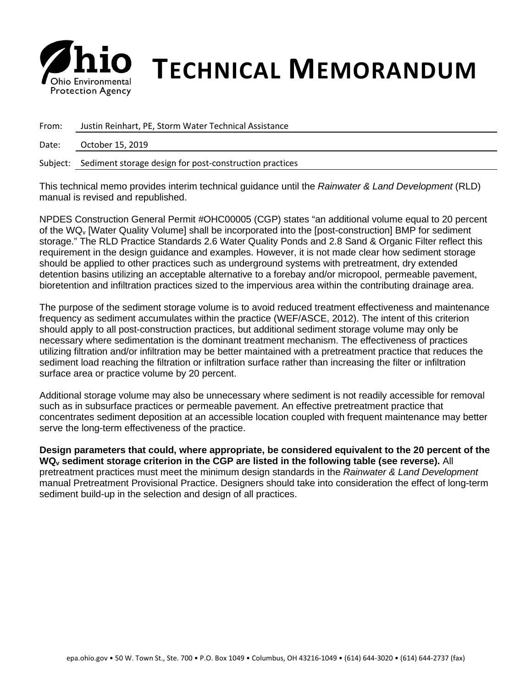

## *S* **his Environmental <b>TECHNICAL MEMORANDUM**

| From: | Justin Reinhart, PE, Storm Water Technical Assistance            |
|-------|------------------------------------------------------------------|
| Date: | October 15, 2019                                                 |
|       | Subject: Sediment storage design for post-construction practices |

This technical memo provides interim technical guidance until the *Rainwater & Land Development* (RLD) manual is revised and republished.

NPDES Construction General Permit #OHC00005 (CGP) states "an additional volume equal to 20 percent of the WQv [Water Quality Volume] shall be incorporated into the [post-construction] BMP for sediment storage." The RLD Practice Standards 2.6 Water Quality Ponds and 2.8 Sand & Organic Filter reflect this requirement in the design guidance and examples. However, it is not made clear how sediment storage should be applied to other practices such as underground systems with pretreatment, dry extended detention basins utilizing an acceptable alternative to a forebay and/or micropool, permeable pavement, bioretention and infiltration practices sized to the impervious area within the contributing drainage area.

The purpose of the sediment storage volume is to avoid reduced treatment effectiveness and maintenance frequency as sediment accumulates within the practice (WEF/ASCE, 2012). The intent of this criterion should apply to all post-construction practices, but additional sediment storage volume may only be necessary where sedimentation is the dominant treatment mechanism. The effectiveness of practices utilizing filtration and/or infiltration may be better maintained with a pretreatment practice that reduces the sediment load reaching the filtration or infiltration surface rather than increasing the filter or infiltration surface area or practice volume by 20 percent.

Additional storage volume may also be unnecessary where sediment is not readily accessible for removal such as in subsurface practices or permeable pavement. An effective pretreatment practice that concentrates sediment deposition at an accessible location coupled with frequent maintenance may better serve the long-term effectiveness of the practice.

**Design parameters that could, where appropriate, be considered equivalent to the 20 percent of the WQv sediment storage criterion in the CGP are listed in the following table (see reverse).** All pretreatment practices must meet the minimum design standards in the *Rainwater & Land Development*  manual Pretreatment Provisional Practice. Designers should take into consideration the effect of long-term sediment build-up in the selection and design of all practices.